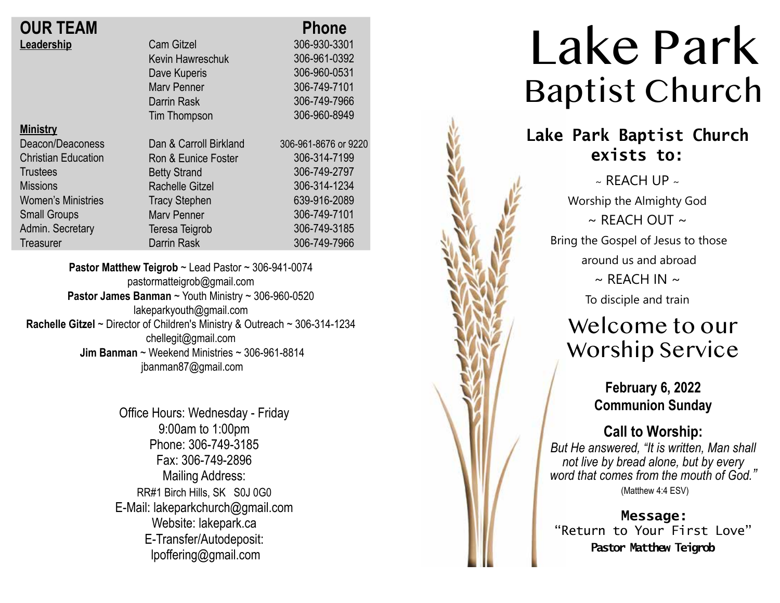| <b>OUR TEAM</b>            |                        | <b>Phone</b>         |
|----------------------------|------------------------|----------------------|
| Leadership                 | <b>Cam Gitzel</b>      | 306-930-3301         |
|                            | Kevin Hawreschuk       | 306-961-0392         |
|                            | Dave Kuperis           | 306-960-0531         |
|                            | <b>Mary Penner</b>     | 306-749-7101         |
|                            | Darrin Rask            | 306-749-7966         |
|                            | Tim Thompson           | 306-960-8949         |
| <b>Ministry</b>            |                        |                      |
| Deacon/Deaconess           | Dan & Carroll Birkland | 306-961-8676 or 9220 |
| <b>Christian Education</b> | Ron & Eunice Foster    | 306-314-7199         |
| <b>Trustees</b>            | <b>Betty Strand</b>    | 306-749-2797         |
| <b>Missions</b>            | <b>Rachelle Gitzel</b> | 306-314-1234         |
| <b>Women's Ministries</b>  | <b>Tracy Stephen</b>   | 639-916-2089         |
| <b>Small Groups</b>        | <b>Mary Penner</b>     | 306-749-7101         |
| Admin. Secretary           | Teresa Teigrob         | 306-749-3185         |
| <b>Treasurer</b>           | <b>Darrin Rask</b>     | 306-749-7966         |

**Pastor Matthew Teigrob** ~ Lead Pastor ~ 306-941-0074 pastormatteigrob@gmail.com **Pastor James Banman** ~ Youth Ministry ~ 306-960-0520 lakeparkyouth@gmail.com **Rachelle Gitzel** ~ Director of Children's Ministry & Outreach ~ 306-314-1234 chellegit@gmail.com  **Jim Banman** ~ Weekend Ministries ~ 306-961-8814 jbanman87@gmail.com

> Office Hours: Wednesday - Friday 9:00am to 1:00pm Phone: 306-749-3185 Fax: 306-749-2896 Mailing Address: RR#1 Birch Hills, SK S0J 0G0 E-Mail: lakeparkchurch@gmail.com Website: lakepark.ca E-Transfer/Autodeposit: lpoffering@gmail.com